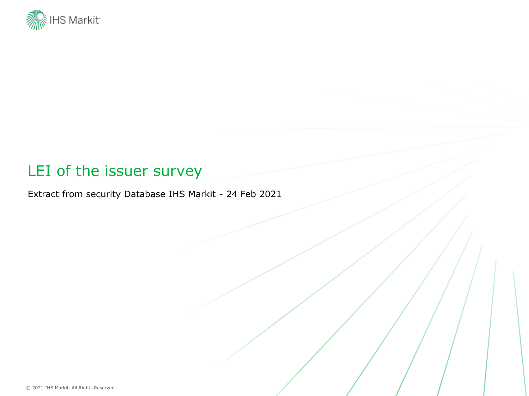

#### LEI of the issuer survey

Extract from security Database IHS Markit - 24 Feb 2021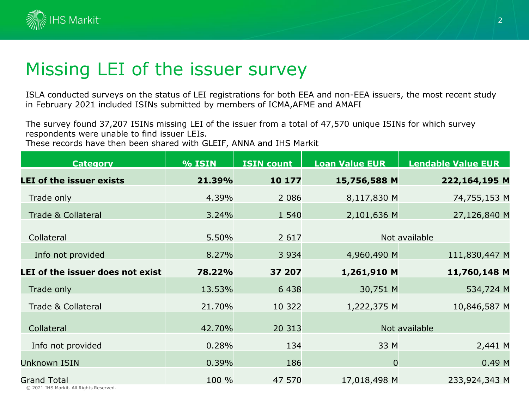

# Missing LEI of the issuer survey

ISLA conducted surveys on the status of LEI registrations for both EEA and non-EEA issuers, the most recent study in February 2021 included ISINs submitted by members of ICMA,AFME and AMAFI

The survey found 37,207 ISINs missing LEI of the issuer from a total of 47,570 unique ISINs for which survey respondents were unable to find issuer LEIs.

These records have then been shared with GLEIF, ANNA and IHS Markit

| <b>Category</b>                  | <b>% ISIN</b> | <b>ISIN count</b> | <b>Loan Value EUR</b> | <b>Lendable Value EUR</b> |  |  |
|----------------------------------|---------------|-------------------|-----------------------|---------------------------|--|--|
| <b>LEI of the issuer exists</b>  | 21.39%        | 10 177            | 15,756,588 M          | 222,164,195 M             |  |  |
| Trade only                       | 4.39%         | 2 0 8 6           | 8,117,830 M           | 74,755,153 M              |  |  |
| <b>Trade &amp; Collateral</b>    | 3.24%         | 1 5 4 0           | 2,101,636 M           | 27,126,840 M              |  |  |
| Collateral                       | 5.50%         | 2 6 1 7           |                       | Not available             |  |  |
| Info not provided                | 8.27%         | 3 9 3 4           | 4,960,490 M           | 111,830,447 M             |  |  |
| LEI of the issuer does not exist | 78.22%        | 37 207            | 1,261,910 M           | 11,760,148 M              |  |  |
| Trade only                       | 13.53%        | 6 4 3 8           | 30,751 M              | 534,724 M                 |  |  |
| Trade & Collateral               | 21.70%        | 10 322            | 1,222,375 M           | 10,846,587 M              |  |  |
| Collateral                       | 42.70%        | 20 313            |                       | Not available             |  |  |
| Info not provided                | 0.28%         | 134               | 33 M                  | 2,441 M                   |  |  |
| <b>Unknown ISIN</b>              | 0.39%         | 186               | $\overline{0}$        | 0.49M                     |  |  |
| <b>Grand Total</b>               | 100 %         | 47 570            | 17,018,498 M          | 233,924,343 M             |  |  |

© 2021 IHS Markit. All Rights Reserved.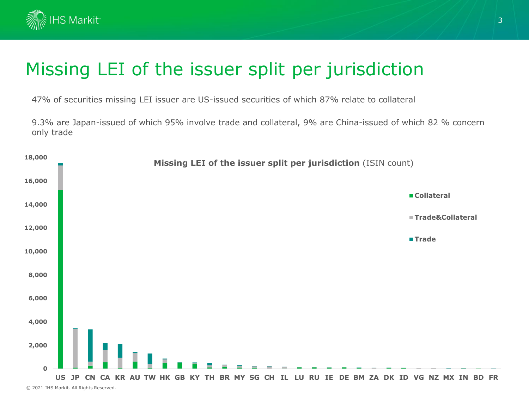

# Missing LEI of the issuer split per jurisdiction

47% of securities missing LEI issuer are US-issued securities of which 87% relate to collateral

9.3% are Japan-issued of which 95% involve trade and collateral, 9% are China-issued of which 82 % concern only trade

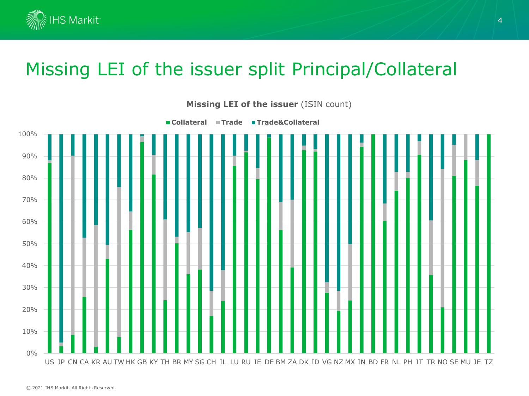

# Missing LEI of the issuer split Principal/Collateral



**Missing LEI of the issuer** (ISIN count)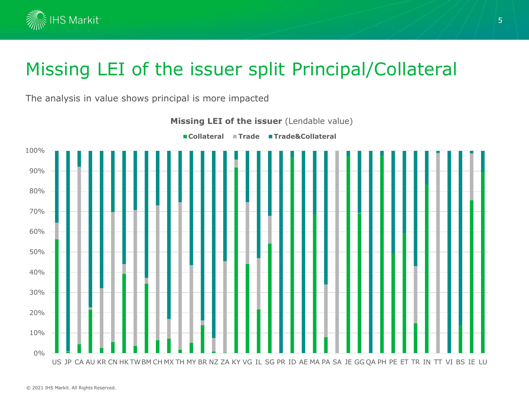

# Missing LEI of the issuer split Principal/Collateral

The analysis in value shows principal is more impacted

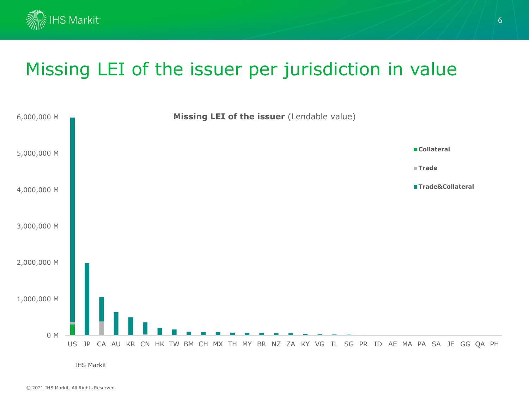

#### Missing LEI of the issuer per jurisdiction in value



IHS Markit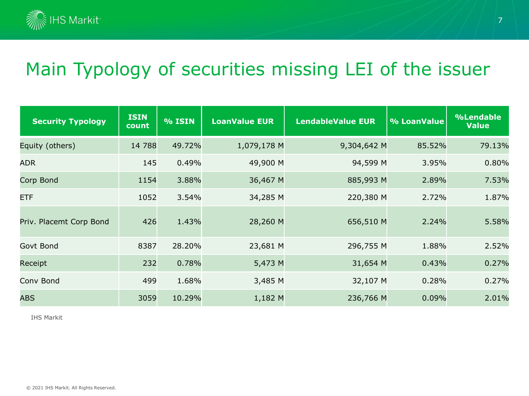

# Main Typology of securities missing LEI of the issuer

| <b>Security Typology</b> | <b>ISIN</b><br>count | <b>% ISIN</b> | <b>LoanValue EUR</b> | <b>LendableValue EUR</b> | % LoanValue | %Lendable<br><b>Value</b> |
|--------------------------|----------------------|---------------|----------------------|--------------------------|-------------|---------------------------|
| Equity (others)          | 14 788               | 49.72%        | 1,079,178 M          | 9,304,642 M              | 85.52%      | 79.13%                    |
| <b>ADR</b>               | 145                  | 0.49%         | 49,900 M             | 94,599 M                 | 3.95%       | 0.80%                     |
| Corp Bond                | 1154                 | 3.88%         | 36,467 M             | 885,993 M                | 2.89%       | 7.53%                     |
| ETF                      | 1052                 | 3.54%         | 34,285 M             | 220,380 M                | 2.72%       | 1.87%                     |
| Priv. Placemt Corp Bond  | 426                  | 1.43%         | 28,260 M             | 656,510 M                | 2.24%       | 5.58%                     |
| Govt Bond                | 8387                 | 28.20%        | 23,681 M             | 296,755 M                | 1.88%       | 2.52%                     |
| Receipt                  | 232                  | 0.78%         | 5,473 M              | 31,654 M                 | 0.43%       | 0.27%                     |
| Conv Bond                | 499                  | 1.68%         | 3,485 M              | 32,107 M                 | 0.28%       | 0.27%                     |
| <b>ABS</b>               | 3059                 | 10.29%        | 1,182 M              | 236,766 M                | 0.09%       | 2.01%                     |

IHS Markit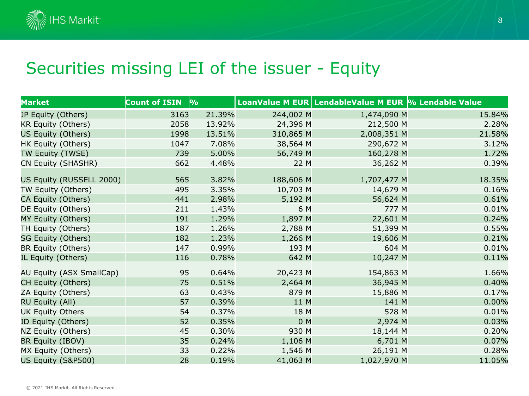

#### Securities missing LEI of the issuer - Equity

| Market                    | Count of ISIN $\,$ $\%$ |        |                | LoanValue M EUR LendableValue M EUR % Lendable Value |        |
|---------------------------|-------------------------|--------|----------------|------------------------------------------------------|--------|
| JP Equity (Others)        | 3163                    | 21.39% | 244,002 M      | 1,474,090 M                                          | 15.84% |
| KR Equity (Others)        | 2058                    | 13.92% | 24,396 M       | 212,500 M                                            | 2.28%  |
| US Equity (Others)        | 1998                    | 13.51% | 310,865 M      | 2,008,351 M                                          | 21.58% |
| HK Equity (Others)        | 1047                    | 7.08%  | 38,564 M       | 290,672 M                                            | 3.12%  |
| TW Equity (TWSE)          | 739                     | 5.00%  | 56,749 M       | 160,278 M                                            | 1.72%  |
| CN Equity (SHASHR)        | 662                     | 4.48%  | 22 M           | 36,262 M                                             | 0.39%  |
| US Equity (RUSSELL 2000)  | 565                     | 3.82%  | 188,606 M      | 1,707,477 M                                          | 18.35% |
| TW Equity (Others)        | 495                     | 3.35%  | 10,703 M       | 14,679 M                                             | 0.16%  |
| CA Equity (Others)        | 441                     | 2.98%  | 5,192 M        | 56,624 M                                             | 0.61%  |
| DE Equity (Others)        | 211                     | 1.43%  | 6 M            | 777 M                                                | 0.01%  |
| MY Equity (Others)        | 191                     | 1.29%  | 1,897 M        | 22,601 M                                             | 0.24%  |
| TH Equity (Others)        | 187                     | 1.26%  | 2,788 M        | 51,399 M                                             | 0.55%  |
| <b>SG Equity (Others)</b> | 182                     | 1.23%  | 1,266 M        | 19,606 M                                             | 0.21%  |
| BR Equity (Others)        | 147                     | 0.99%  | 193 M          | 604 M                                                | 0.01%  |
| IL Equity (Others)        | 116                     | 0.78%  | 642 M          | 10,247 M                                             | 0.11%  |
| AU Equity (ASX SmallCap)  | 95                      | 0.64%  | 20,423 M       | 154,863 M                                            | 1.66%  |
| CH Equity (Others)        | 75                      | 0.51%  | 2,464 M        | 36,945 M                                             | 0.40%  |
| ZA Equity (Others)        | 63                      | 0.43%  | 879 M          | 15,886 M                                             | 0.17%  |
| RU Equity (All)           | 57                      | 0.39%  | 11 M           | 141 M                                                | 0.00%  |
| <b>UK Equity Others</b>   | 54                      | 0.37%  | 18 M           | 528 M                                                | 0.01%  |
| ID Equity (Others)        | 52                      | 0.35%  | 0 <sub>M</sub> | 2,974 M                                              | 0.03%  |
| NZ Equity (Others)        | 45                      | 0.30%  | 930 M          | 18,144 M                                             | 0.20%  |
| BR Equity (IBOV)          | 35                      | 0.24%  | 1,106 M        | 6,701 M                                              | 0.07%  |
| MX Equity (Others)        | 33                      | 0.22%  | 1,546 M        | 26,191 M                                             | 0.28%  |
| US Equity (S&P500)        | 28                      | 0.19%  | 41,063 M       | 1,027,970 M                                          | 11.05% |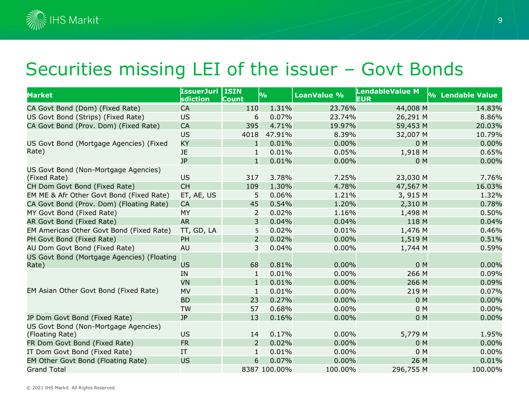

#### Securities missing LEI of the issuer – Govt Bonds

| <b>Market</b>                                           | <b>IssuerJuri   ISIN</b><br>sdiction | Count          | 9/6          | <b>LoanValue %</b> | <b>LendableValue M</b><br><b>EUR</b> | % Lendable Value |
|---------------------------------------------------------|--------------------------------------|----------------|--------------|--------------------|--------------------------------------|------------------|
| CA Govt Bond (Dom) (Fixed Rate)                         | <b>CA</b>                            | 110            | 1.31%        | 23.76%             | 44,008 M                             | 14.83%           |
| US Govt Bond (Strips) (Fixed Rate)                      | <b>US</b>                            | 6              | 0.07%        | 23.74%             | 26,291 M                             | 8.86%            |
| CA Govt Bond (Prov. Dom) (Fixed Rate)                   | <b>CA</b>                            | 395            | 4.71%        | 19.97%             | 59,453 M                             | 20.03%           |
|                                                         | <b>US</b>                            | 4018           | 47.91%       | 8.39%              | 32,007 M                             | 10.79%           |
| US Govt Bond (Mortgage Agencies) (Fixed<br>Rate)        | ΚY                                   | $\mathbf{1}$   | 0.01%        | 0.00%              | 0 M                                  | 0.00%            |
|                                                         | <b>JE</b>                            | 1              | 0.01%        | 0.05%              | 1,918 M                              | 0.65%            |
|                                                         | <b>JP</b>                            | $\mathbf{1}$   | 0.01%        | 0.00%              | 0 <sub>M</sub>                       | 0.00%            |
| US Govt Bond (Non-Mortgage Agencies)<br>(Fixed Rate)    | <b>US</b>                            | 317            | 3.78%        | 7.25%              | 23,030 M                             | 7.76%            |
| CH Dom Govt Bond (Fixed Rate)                           | <b>CH</b>                            | 109            | 1.30%        | 4.78%              | 47,567 M                             | 16.03%           |
| EM ME & Afr Other Govt Bond (Fixed Rate)                | ET, AE, US                           | 5              | 0.06%        | 1.21%              | 3, 915 M                             | 1.32%            |
| CA Govt Bond (Prov. Dom) (Floating Rate)                | <b>CA</b>                            | 45             | 0.54%        | 1.20%              | 2,310 M                              | 0.78%            |
| MY Govt Bond (Fixed Rate)                               | <b>MY</b>                            | $\overline{2}$ | 0.02%        | 1.16%              | 1,498 M                              | 0.50%            |
| AR Govt Bond (Fixed Rate)                               | <b>AR</b>                            | 3              | 0.04%        | 0.04%              | 118 M                                | 0.04%            |
| EM Americas Other Govt Bond (Fixed Rate)                | TT, GD, LA                           | 5              | 0.02%        | 0.01%              | 1,476 M                              | 0.46%            |
| PH Govt Bond (Fixed Rate)                               | PH                                   | $\overline{2}$ | 0.02%        | 0.00%              | 1,519 M                              | 0.51%            |
| AU Dom Govt Bond (Fixed Rate)                           | AU                                   | 3              | 0.04%        | 0.00%              | 1,744 M                              | 0.59%            |
| US Govt Bond (Mortgage Agencies) (Floating<br>Rate)     | <b>US</b>                            | 68             | 0.81%        | 0.00%              | 0 M                                  | 0.00%            |
|                                                         | IN                                   | $\mathbf{1}$   | 0.01%        | 0.00%              | 266 M                                | 0.09%            |
|                                                         | VN                                   | $\mathbf{1}$   | 0.01%        | 0.00%              | 266 M                                | 0.09%            |
| EM Asian Other Govt Bond (Fixed Rate)                   | MV                                   | $\mathbf{1}$   | 0.01%        | 0.00%              | 219 M                                | 0.07%            |
|                                                         | <b>BD</b>                            | 23             | 0.27%        | 0.00%              | 0 M                                  | 0.00%            |
|                                                         | <b>TW</b>                            | 57             | 0.68%        | 0.00%              | 0 M                                  | 0.00%            |
| JP Dom Govt Bond (Fixed Rate)                           | <b>JP</b>                            | 13             | 0.16%        | 0.00%              | 0 M                                  | 0.00%            |
| US Govt Bond (Non-Mortgage Agencies)<br>(Floating Rate) | US                                   | 14             | 0.17%        | 0.00%              | 5,779 M                              | 1.95%            |
| FR Dom Govt Bond (Fixed Rate)                           | <b>FR</b>                            | 2              | 0.02%        | 0.00%              | 0 M                                  | 0.00%            |
| IT Dom Govt Bond (Fixed Rate)                           | IT                                   | $\mathbf{1}$   | 0.01%        | 0.00%              | 0 M                                  | 0.00%            |
| EM Other Govt Bond (Floating Rate)                      | <b>US</b>                            | 6              | 0.07%        | 0.00%              | 26 M                                 | 0.01%            |
| <b>Grand Total</b>                                      |                                      |                | 8387 100.00% | 100.00%            | 296,755 M                            | 100.00%          |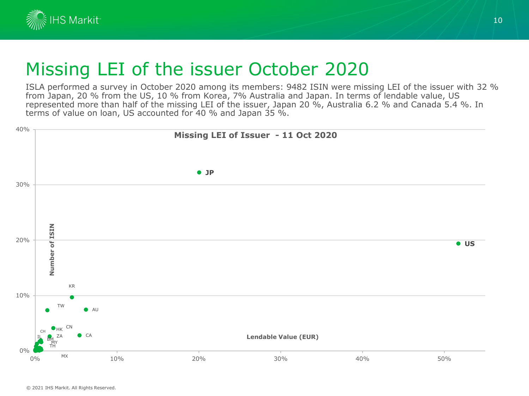

#### Missing LEI of the issuer October 2020

ISLA performed a survey in October 2020 among its members: 9482 ISIN were missing LEI of the issuer with 32 % from Japan, 20 % from the US, 10 % from Korea, 7% Australia and Japan. In terms of lendable value, US represented more than half of the missing LEI of the issuer, Japan 20 %, Australia 6.2 % and Canada 5.4 %. In terms of value on loan, US accounted for 40 % and Japan 35 %.